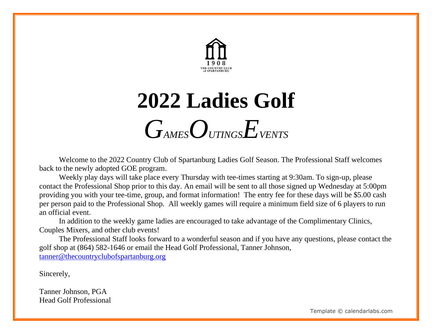

## **2022 Ladies Golf** *GAMESOUTINGSEVENTS*

Welcome to the 2022 Country Club of Spartanburg Ladies Golf Season. The Professional Staff welcomes back to the newly adopted GOE program.

Weekly play days will take place every Thursday with tee-times starting at 9:30am. To sign-up, please contact the Professional Shop prior to this day. An email will be sent to all those signed up Wednesday at 5:00pm providing you with your tee-time, group, and format information! The entry fee for these days will be \$5.00 cash per person paid to the Professional Shop. All weekly games will require a minimum field size of 6 players to run an official event.

In addition to the weekly game ladies are encouraged to take advantage of the Complimentary Clinics, Couples Mixers, and other club events!

The Professional Staff looks forward to a wonderful season and if you have any questions, please contact the golf shop at (864) 582-1646 or email the Head Golf Professional, Tanner Johnson, [tanner@thecountryclubofspartanburg.org](mailto:tanner@thecountryclubofspartanburg.org)

Sincerely,

Tanner Johnson, PGA Head Golf Professional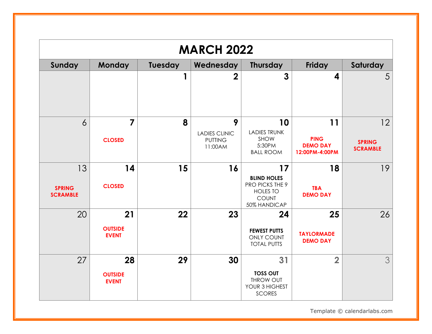|                                        | <b>MARCH 2022</b>                    |         |                                                        |                                                                                                |                                                        |                                        |  |  |
|----------------------------------------|--------------------------------------|---------|--------------------------------------------------------|------------------------------------------------------------------------------------------------|--------------------------------------------------------|----------------------------------------|--|--|
| Sunday                                 | <b>Monday</b>                        | Tuesday | Wednesday                                              | <b>Thursday</b>                                                                                | Friday                                                 | Saturday                               |  |  |
|                                        |                                      | 1       | $\overline{2}$                                         | $\overline{3}$                                                                                 | $\boldsymbol{4}$                                       | 5                                      |  |  |
| $\overline{6}$                         | $\overline{7}$<br><b>CLOSED</b>      | 8       | 9<br><b>LADIES CLINIC</b><br><b>PUTTING</b><br>11:00AM | 10<br><b>LADIES TRUNK</b><br>SHOW<br>5:30PM<br><b>BALL ROOM</b>                                | 11<br><b>PING</b><br><b>DEMO DAY</b><br>12:00PM-4:00PM | 12<br><b>SPRING</b><br><b>SCRAMBLE</b> |  |  |
| 13<br><b>SPRING</b><br><b>SCRAMBLE</b> | 14<br><b>CLOSED</b>                  | 15      | 16                                                     | 17<br><b>BLIND HOLES</b><br>PRO PICKS THE 9<br><b>HOLES TO</b><br><b>COUNT</b><br>50% HANDICAP | 18<br><b>TBA</b><br><b>DEMO DAY</b>                    | 19                                     |  |  |
| 20                                     | 21<br><b>OUTSIDE</b><br><b>EVENT</b> | 22      | 23                                                     | 24<br><b>FEWEST PUTTS</b><br><b>ONLY COUNT</b><br><b>TOTAL PUTTS</b>                           | 25<br><b>TAYLORMADE</b><br><b>DEMO DAY</b>             | 26                                     |  |  |
| 27                                     | 28<br><b>OUTSIDE</b><br><b>EVENT</b> | 29      | 30                                                     | 31<br><b>TOSS OUT</b><br><b>THROW OUT</b><br>YOUR 3 HIGHEST<br><b>SCORES</b>                   | $\overline{\mathbf{2}}$                                | 3                                      |  |  |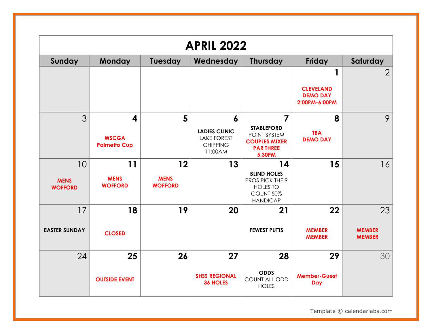| <b>APRIL 2022</b>                   |                                                         |                                     |                                                                               |                                                                                                          |                                                           |                                      |  |
|-------------------------------------|---------------------------------------------------------|-------------------------------------|-------------------------------------------------------------------------------|----------------------------------------------------------------------------------------------------------|-----------------------------------------------------------|--------------------------------------|--|
| <b>Sunday</b>                       | Monday                                                  | Tuesday                             | Wednesday                                                                     | <b>Thursday</b>                                                                                          | Friday                                                    | Saturday                             |  |
|                                     |                                                         |                                     |                                                                               |                                                                                                          | 1<br><b>CLEVELAND</b><br><b>DEMO DAY</b><br>2:00PM-6:00PM | $\overline{2}$                       |  |
| 3                                   | $\boldsymbol{4}$<br><b>WSCGA</b><br><b>Palmetto Cup</b> | 5                                   | 6<br><b>LADIES CLINIC</b><br><b>LAKE FOREST</b><br><b>CHIPPING</b><br>11:00AM | $\overline{7}$<br><b>STABLEFORD</b><br>POINT SYSTEM<br><b>COUPLES MIXER</b><br><b>PARTHREE</b><br>5:30PM | 8<br><b>TBA</b><br><b>DEMO DAY</b>                        | 9                                    |  |
| 10<br><b>MENS</b><br><b>WOFFORD</b> | 11<br><b>MENS</b><br><b>WOFFORD</b>                     | 12<br><b>MENS</b><br><b>WOFFORD</b> | 13                                                                            | 14<br><b>BLIND HOLES</b><br>PROS PICK THE 9<br><b>HOLES TO</b><br>COUNT 50%<br><b>HANDICAP</b>           | 15                                                        | 16                                   |  |
| 17<br><b>EASTER SUNDAY</b>          | 18<br><b>CLOSED</b>                                     | 19                                  | 20                                                                            | 21<br><b>FEWEST PUTTS</b>                                                                                | 22<br><b>MEMBER</b><br><b>MEMBER</b>                      | 23<br><b>MEMBER</b><br><b>MEMBER</b> |  |
| 24                                  | 25<br><b>OUTSIDE EVENT</b>                              | 26                                  | 27<br><b>SHSS REGIONAL</b><br><b>36 HOLES</b>                                 | 28<br><b>ODDS</b><br>COUNT ALL ODD<br><b>HOLES</b>                                                       | 29<br><b>Member-Guest</b><br><b>Day</b>                   | 30                                   |  |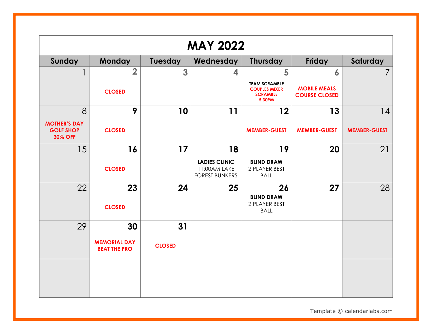| <b>MAY 2022</b>                                           |                                            |               |                                                               |                                                                           |                                             |                     |  |
|-----------------------------------------------------------|--------------------------------------------|---------------|---------------------------------------------------------------|---------------------------------------------------------------------------|---------------------------------------------|---------------------|--|
| Sunday                                                    | <b>Monday</b>                              | Tuesday       | Wednesday                                                     | <b>Thursday</b>                                                           | Friday                                      | Saturday            |  |
|                                                           | $\overline{\mathbf{2}}$                    | 3             | 4                                                             | 5                                                                         | 6                                           |                     |  |
|                                                           | <b>CLOSED</b>                              |               |                                                               | <b>TEAM SCRAMBLE</b><br><b>COUPLES MIXER</b><br><b>SCRAMBLE</b><br>5:30PM | <b>MOBILE MEALS</b><br><b>COURSE CLOSED</b> |                     |  |
| 8                                                         | 9                                          | 10            | 11                                                            | 12                                                                        | 13                                          | 14                  |  |
| <b>MOTHER'S DAY</b><br><b>GOLF SHOP</b><br><b>30% OFF</b> | <b>CLOSED</b>                              |               |                                                               | <b>MEMBER-GUEST</b>                                                       | <b>MEMBER-GUEST</b>                         | <b>MEMBER-GUEST</b> |  |
| 15                                                        | 16                                         | 17            | 18                                                            | 19                                                                        | 20                                          | 21                  |  |
|                                                           | <b>CLOSED</b>                              |               | <b>LADIES CLINIC</b><br>11:00AM LAKE<br><b>FOREST BUNKERS</b> | <b>BLIND DRAW</b><br>2 PLAYER BEST<br><b>BALL</b>                         |                                             |                     |  |
| 22                                                        | 23<br><b>CLOSED</b>                        | 24            | 25                                                            | 26<br><b>BLIND DRAW</b><br>2 PLAYER BEST<br><b>BALL</b>                   | 27                                          | 28                  |  |
| 29                                                        | 30                                         | 31            |                                                               |                                                                           |                                             |                     |  |
|                                                           | <b>MEMORIAL DAY</b><br><b>BEAT THE PRO</b> | <b>CLOSED</b> |                                                               |                                                                           |                                             |                     |  |
|                                                           |                                            |               |                                                               |                                                                           |                                             |                     |  |
|                                                           |                                            |               |                                                               |                                                                           |                                             |                     |  |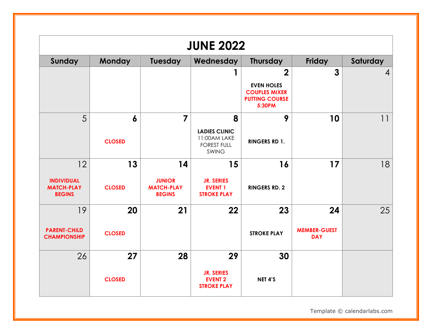| <b>JUNE 2022</b>                                              |                     |                                                           |                                                                                 |                                                                                             |                                         |                |  |
|---------------------------------------------------------------|---------------------|-----------------------------------------------------------|---------------------------------------------------------------------------------|---------------------------------------------------------------------------------------------|-----------------------------------------|----------------|--|
| Sunday                                                        | Monday              | Tuesday                                                   | Wednesday                                                                       | <b>Thursday</b>                                                                             | Friday                                  | Saturday       |  |
|                                                               |                     |                                                           |                                                                                 | $\mathbf 2$<br><b>EVEN HOLES</b><br><b>COUPLES MIXER</b><br><b>PUTTING COURSE</b><br>5:30PM | $\mathbf{3}$                            | $\overline{4}$ |  |
| 5                                                             | 6<br><b>CLOSED</b>  | $\overline{7}$                                            | 8<br><b>LADIES CLINIC</b><br>11:00AM LAKE<br><b>FOREST FULL</b><br><b>SWING</b> | 9<br><b>RINGERS RD 1.</b>                                                                   | 10                                      | 11             |  |
| 12<br><b>INDIVIDUAL</b><br><b>MATCH-PLAY</b><br><b>BEGINS</b> | 13<br><b>CLOSED</b> | 14<br><b>JUNIOR</b><br><b>MATCH-PLAY</b><br><b>BEGINS</b> | 15<br><b>JR. SERIES</b><br><b>EVENT 1</b><br><b>STROKE PLAY</b>                 | 16<br><b>RINGERS RD. 2</b>                                                                  | 17                                      | 18             |  |
| 19<br><b>PARENT-CHILD</b><br><b>CHAMPIONSHIP</b>              | 20<br><b>CLOSED</b> | 21                                                        | 22                                                                              | 23<br><b>STROKE PLAY</b>                                                                    | 24<br><b>MEMBER-GUEST</b><br><b>DAY</b> | 25             |  |
| 26                                                            | 27<br><b>CLOSED</b> | 28                                                        | 29<br><b>JR. SERIES</b><br><b>EVENT 2</b><br><b>STROKE PLAY</b>                 | 30<br>NET 4'S                                                                               |                                         |                |  |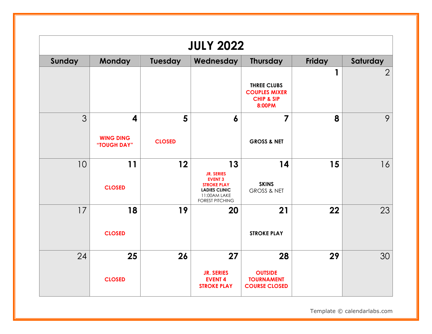|        | <b>JULY 2022</b>                     |                    |                                                                                                                                   |                                                                               |        |                |  |  |
|--------|--------------------------------------|--------------------|-----------------------------------------------------------------------------------------------------------------------------------|-------------------------------------------------------------------------------|--------|----------------|--|--|
| Sunday | Monday                               | <b>Tuesday</b>     | Wednesday                                                                                                                         | <b>Thursday</b>                                                               | Friday | Saturday       |  |  |
|        |                                      |                    |                                                                                                                                   | <b>THREE CLUBS</b><br><b>COUPLES MIXER</b><br><b>CHIP &amp; SIP</b><br>8:00PM | 1      | $\overline{2}$ |  |  |
| 3      | 4<br><b>WING DING</b><br>"TOUGH DAY" | 5<br><b>CLOSED</b> | 6                                                                                                                                 | $\overline{7}$<br><b>GROSS &amp; NET</b>                                      | 8      | 9              |  |  |
| 10     | 11<br><b>CLOSED</b>                  | 12                 | 13<br><b>JR. SERIES</b><br><b>EVENT 3</b><br><b>STROKE PLAY</b><br><b>LADIES CLINIC</b><br>11:00AM LAKE<br><b>FOREST PITCHING</b> | 14<br><b>SKINS</b><br><b>GROSS &amp; NET</b>                                  | 15     | 16             |  |  |
| 17     | 18<br><b>CLOSED</b>                  | 19                 | 20                                                                                                                                | 21<br><b>STROKE PLAY</b>                                                      | 22     | 23             |  |  |
| 24     | 25<br><b>CLOSED</b>                  | 26                 | 27<br><b>JR. SERIES</b><br><b>EVENT 4</b><br><b>STROKE PLAY</b>                                                                   | 28<br><b>OUTSIDE</b><br><b>TOURNAMENT</b><br><b>COURSE CLOSED</b>             | 29     | 30             |  |  |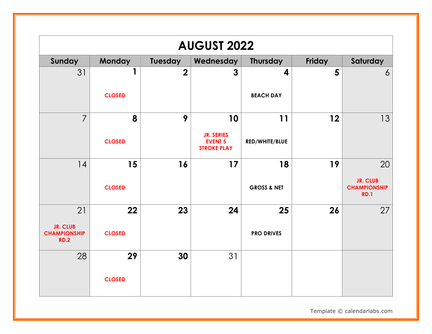| <b>AUGUST 2022</b>                                    |               |             |                                                           |                        |        |                                                       |  |
|-------------------------------------------------------|---------------|-------------|-----------------------------------------------------------|------------------------|--------|-------------------------------------------------------|--|
| Sunday                                                | <b>Monday</b> | Tuesday     | Wednesday                                                 | <b>Thursday</b>        | Friday | Saturday                                              |  |
| 31                                                    |               | $\mathbf 2$ | $\mathbf{3}$                                              | 4                      | 5      | 6                                                     |  |
|                                                       | <b>CLOSED</b> |             |                                                           | <b>BEACH DAY</b>       |        |                                                       |  |
| $\overline{7}$                                        | 8             | 9           | 10                                                        | 11                     | 12     | 13                                                    |  |
|                                                       | <b>CLOSED</b> |             | <b>JR. SERIES</b><br><b>EVENT 5</b><br><b>STROKE PLAY</b> | RED/WHITE/BLUE         |        |                                                       |  |
| 14                                                    | 15            | 16          | 17                                                        | 18                     | 19     | 20                                                    |  |
|                                                       | <b>CLOSED</b> |             |                                                           | <b>GROSS &amp; NET</b> |        | <b>JR. CLUB</b><br><b>CHAMPIONSHIP</b><br><b>RD.1</b> |  |
| 21                                                    | 22            | 23          | 24                                                        | 25                     | 26     | 27                                                    |  |
| <b>JR. CLUB</b><br><b>CHAMPIONSHIP</b><br><b>RD.2</b> | <b>CLOSED</b> |             |                                                           | <b>PRO DRIVES</b>      |        |                                                       |  |
| 28                                                    | 29            | 30          | 31                                                        |                        |        |                                                       |  |
|                                                       | <b>CLOSED</b> |             |                                                           |                        |        |                                                       |  |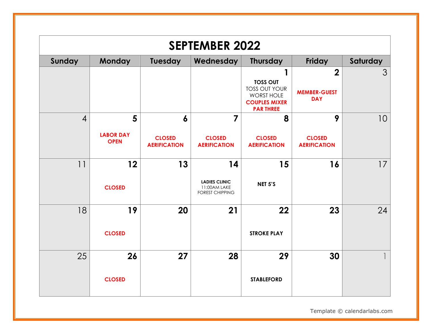| <b>SEPTEMBER 2022</b> |                                      |                                                          |                                                                      |                                                                                                         |                                                              |          |  |  |
|-----------------------|--------------------------------------|----------------------------------------------------------|----------------------------------------------------------------------|---------------------------------------------------------------------------------------------------------|--------------------------------------------------------------|----------|--|--|
| Sunday                | Monday                               | <b>Tuesday</b>                                           | Wednesday                                                            | <b>Thursday</b>                                                                                         | Friday                                                       | Saturday |  |  |
|                       |                                      |                                                          |                                                                      | <b>TOSS OUT</b><br><b>TOSS OUT YOUR</b><br><b>WORST HOLE</b><br><b>COUPLES MIXER</b><br><b>PARTHREE</b> | $\overline{\mathbf{2}}$<br><b>MEMBER-GUEST</b><br><b>DAY</b> | 3        |  |  |
| $\overline{4}$        | 5<br><b>LABOR DAY</b><br><b>OPEN</b> | $\boldsymbol{6}$<br><b>CLOSED</b><br><b>AERIFICATION</b> | 7<br><b>CLOSED</b><br><b>AERIFICATION</b>                            | 8<br><b>CLOSED</b><br><b>AERIFICATION</b>                                                               | 9<br><b>CLOSED</b><br><b>AERIFICATION</b>                    | 10       |  |  |
| 11                    | 12<br><b>CLOSED</b>                  | 13                                                       | 14<br><b>LADIES CLINIC</b><br>11:00AM LAKE<br><b>FOREST CHIPPING</b> | 15<br>NET 5'S                                                                                           | 16                                                           | 17       |  |  |
| 18                    | 19<br><b>CLOSED</b>                  | 20                                                       | 21                                                                   | 22<br><b>STROKE PLAY</b>                                                                                | 23                                                           | 24       |  |  |
| 25                    | 26<br><b>CLOSED</b>                  | 27                                                       | 28                                                                   | 29<br><b>STABLEFORD</b>                                                                                 | 30                                                           |          |  |  |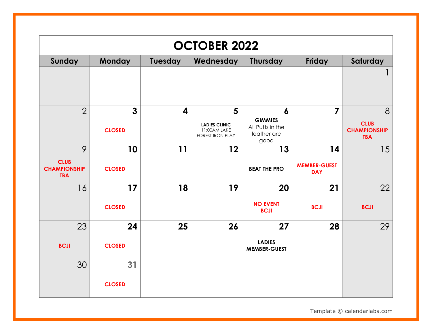| <b>OCTOBER 2022</b>                              |                                 |                         |                                                                      |                                                                               |                                   |                                                       |  |
|--------------------------------------------------|---------------------------------|-------------------------|----------------------------------------------------------------------|-------------------------------------------------------------------------------|-----------------------------------|-------------------------------------------------------|--|
| Sunday                                           | <b>Monday</b>                   | Tuesday                 | Wednesday                                                            | <b>Thursday</b>                                                               | Friday                            | Saturday                                              |  |
|                                                  |                                 |                         |                                                                      |                                                                               |                                   |                                                       |  |
| $\overline{2}$                                   | $\overline{3}$<br><b>CLOSED</b> | $\overline{\mathbf{4}}$ | 5<br><b>LADIES CLINIC</b><br>11:00AM LAKE<br><b>FOREST IRON PLAY</b> | $\boldsymbol{6}$<br><b>GIMMIES</b><br>All Putts in the<br>leather are<br>good | 7                                 | 8<br><b>CLUB</b><br><b>CHAMPIONSHIP</b><br><b>TBA</b> |  |
| 9                                                | 10                              | 11                      | 12                                                                   | 13                                                                            | 14                                | 15                                                    |  |
| <b>CLUB</b><br><b>CHAMPIONSHIP</b><br><b>TBA</b> | <b>CLOSED</b>                   |                         |                                                                      | <b>BEAT THE PRO</b>                                                           | <b>MEMBER-GUEST</b><br><b>DAY</b> |                                                       |  |
| 16                                               | 17                              | 18                      | 19                                                                   | 20                                                                            | 21                                | 22                                                    |  |
|                                                  | <b>CLOSED</b>                   |                         |                                                                      | <b>NO EVENT</b><br><b>BCJI</b>                                                | <b>BCJI</b>                       | <b>BCJI</b>                                           |  |
| 23                                               | 24                              | 25                      | 26                                                                   | 27                                                                            | 28                                | 29                                                    |  |
| <b>BCJI</b>                                      | <b>CLOSED</b>                   |                         |                                                                      | <b>LADIES</b><br><b>MEMBER-GUEST</b>                                          |                                   |                                                       |  |
| 30                                               | 31                              |                         |                                                                      |                                                                               |                                   |                                                       |  |
|                                                  | <b>CLOSED</b>                   |                         |                                                                      |                                                                               |                                   |                                                       |  |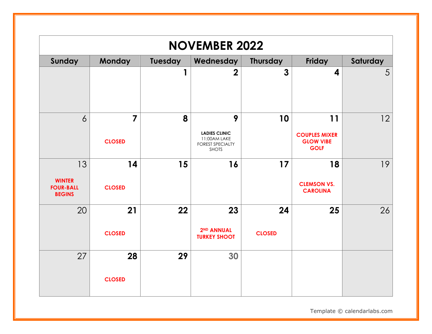| <b>NOVEMBER 2022</b>                                     |                                 |         |                                                                                      |                     |                                                               |          |  |  |
|----------------------------------------------------------|---------------------------------|---------|--------------------------------------------------------------------------------------|---------------------|---------------------------------------------------------------|----------|--|--|
| Sunday                                                   | <b>Monday</b>                   | Tuesday | Wednesday                                                                            | <b>Thursday</b>     | Friday                                                        | Saturday |  |  |
|                                                          |                                 |         | $\overline{2}$                                                                       | $\overline{3}$      | 4                                                             | 5        |  |  |
| $\overline{6}$                                           | $\overline{7}$<br><b>CLOSED</b> | 8       | 9<br><b>LADIES CLINIC</b><br>11:00AM LAKE<br><b>FOREST SPECIALTY</b><br><b>SHOTS</b> | 10                  | 11<br><b>COUPLES MIXER</b><br><b>GLOW VIBE</b><br><b>GOLF</b> | 12       |  |  |
| 13<br><b>WINTER</b><br><b>FOUR-BALL</b><br><b>BEGINS</b> | 14<br><b>CLOSED</b>             | 15      | 16                                                                                   | 17                  | 18<br><b>CLEMSON VS.</b><br><b>CAROLINA</b>                   | 19       |  |  |
| 20                                                       | 21<br><b>CLOSED</b>             | 22      | 23<br>2 <sup>ND</sup> ANNUAL<br><b>TURKEY SHOOT</b>                                  | 24<br><b>CLOSED</b> | 25                                                            | 26       |  |  |
| 27                                                       | 28<br><b>CLOSED</b>             | 29      | 30                                                                                   |                     |                                                               |          |  |  |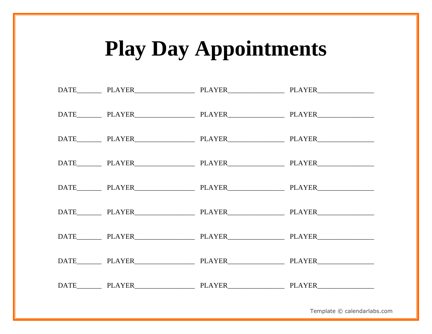## **Play Day Appointments**